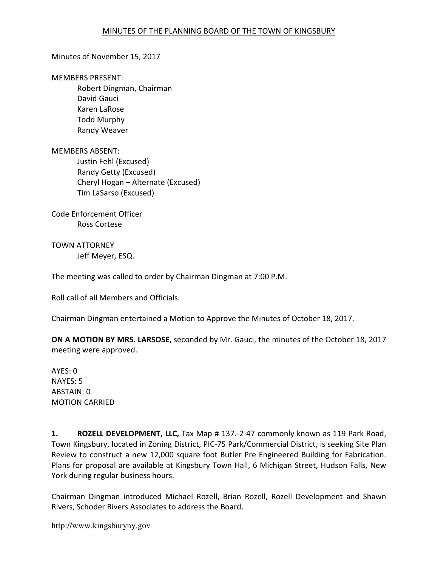#### Minutes of November 15, 2017

#### MEMBERS PRESENT:

Robert Dingman, Chairman David Gauci Karen LaRose Todd Murphy Randy Weaver

#### MEMBERS ABSENT:

Justin Fehl (Excused) Randy Getty (Excused) Cheryl Hogan – Alternate (Excused) Tim LaSarso (Excused)

Code Enforcement Officer Ross Cortese

TOWN ATTORNEY Jeff Meyer, ESQ.

The meeting was called to order by Chairman Dingman at 7:00 P.M.

Roll call of all Members and Officials.

Chairman Dingman entertained a Motion to Approve the Minutes of October 18, 2017.

ON A MOTION BY MRS. LARSOSE, seconded by Mr. Gauci, the minutes of the October 18, 2017 meeting were approved.

AYES: 0 NAYES: 5 ABSTAIN: 0 MOTION CARRIED

1. ROZELL DEVELOPMENT, LLC, Tax Map # 137.-2-47 commonly known as 119 Park Road, Town Kingsbury, located in Zoning District, PIC-75 Park/Commercial District, is seeking Site Plan Review to construct a new 12,000 square foot Butler Pre Engineered Building for Fabrication. Plans for proposal are available at Kingsbury Town Hall, 6 Michigan Street, Hudson Falls, New York during regular business hours.

Chairman Dingman introduced Michael Rozell, Brian Rozell, Rozell Development and Shawn Rivers, Schoder Rivers Associates to address the Board.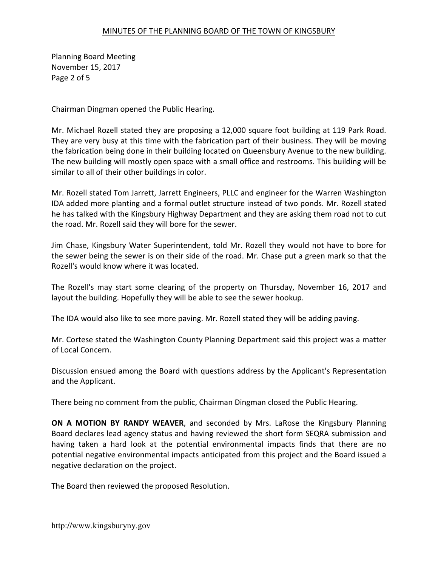Planning Board Meeting November 15, 2017 Page 2 of 5

Chairman Dingman opened the Public Hearing.

Mr. Michael Rozell stated they are proposing a 12,000 square foot building at 119 Park Road. They are very busy at this time with the fabrication part of their business. They will be moving the fabrication being done in their building located on Queensbury Avenue to the new building. The new building will mostly open space with a small office and restrooms. This building will be similar to all of their other buildings in color.

Mr. Rozell stated Tom Jarrett, Jarrett Engineers, PLLC and engineer for the Warren Washington IDA added more planting and a formal outlet structure instead of two ponds. Mr. Rozell stated he has talked with the Kingsbury Highway Department and they are asking them road not to cut the road. Mr. Rozell said they will bore for the sewer.

Jim Chase, Kingsbury Water Superintendent, told Mr. Rozell they would not have to bore for the sewer being the sewer is on their side of the road. Mr. Chase put a green mark so that the Rozell's would know where it was located.

The Rozell's may start some clearing of the property on Thursday, November 16, 2017 and layout the building. Hopefully they will be able to see the sewer hookup.

The IDA would also like to see more paving. Mr. Rozell stated they will be adding paving.

Mr. Cortese stated the Washington County Planning Department said this project was a matter of Local Concern.

Discussion ensued among the Board with questions address by the Applicant's Representation and the Applicant.

There being no comment from the public, Chairman Dingman closed the Public Hearing.

ON A MOTION BY RANDY WEAVER, and seconded by Mrs. LaRose the Kingsbury Planning Board declares lead agency status and having reviewed the short form SEQRA submission and having taken a hard look at the potential environmental impacts finds that there are no potential negative environmental impacts anticipated from this project and the Board issued a negative declaration on the project.

The Board then reviewed the proposed Resolution.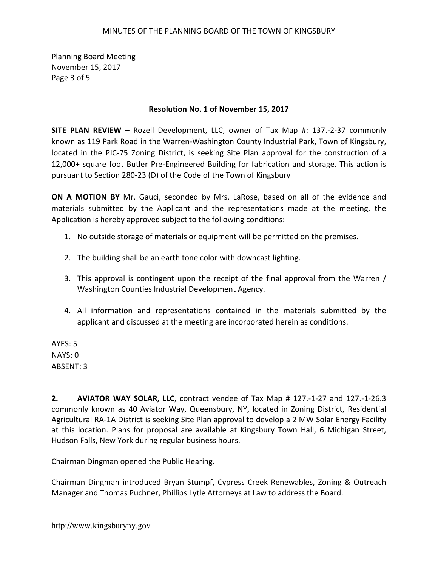Planning Board Meeting November 15, 2017 Page 3 of 5

#### Resolution No. 1 of November 15, 2017

SITE PLAN REVIEW – Rozell Development, LLC, owner of Tax Map #: 137.-2-37 commonly known as 119 Park Road in the Warren-Washington County Industrial Park, Town of Kingsbury, located in the PIC-75 Zoning District, is seeking Site Plan approval for the construction of a 12,000+ square foot Butler Pre-Engineered Building for fabrication and storage. This action is pursuant to Section 280-23 (D) of the Code of the Town of Kingsbury

ON A MOTION BY Mr. Gauci, seconded by Mrs. LaRose, based on all of the evidence and materials submitted by the Applicant and the representations made at the meeting, the Application is hereby approved subject to the following conditions:

- 1. No outside storage of materials or equipment will be permitted on the premises.
- 2. The building shall be an earth tone color with downcast lighting.
- 3. This approval is contingent upon the receipt of the final approval from the Warren / Washington Counties Industrial Development Agency.
- 4. All information and representations contained in the materials submitted by the applicant and discussed at the meeting are incorporated herein as conditions.

AYES: 5 NAYS: 0 ABSENT: 3

2. AVIATOR WAY SOLAR, LLC, contract vendee of Tax Map # 127.-1-27 and 127.-1-26.3 commonly known as 40 Aviator Way, Queensbury, NY, located in Zoning District, Residential Agricultural RA-1A District is seeking Site Plan approval to develop a 2 MW Solar Energy Facility at this location. Plans for proposal are available at Kingsbury Town Hall, 6 Michigan Street, Hudson Falls, New York during regular business hours.

Chairman Dingman opened the Public Hearing.

Chairman Dingman introduced Bryan Stumpf, Cypress Creek Renewables, Zoning & Outreach Manager and Thomas Puchner, Phillips Lytle Attorneys at Law to address the Board.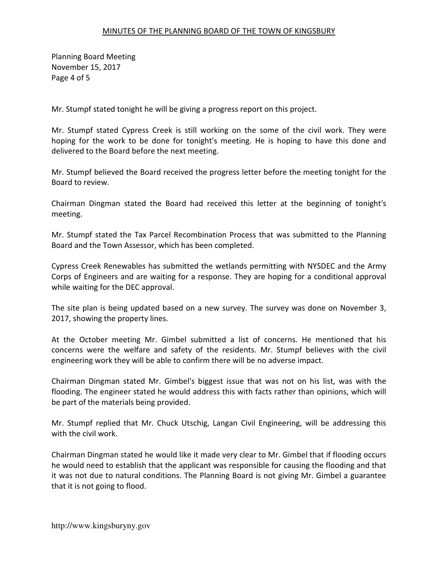Planning Board Meeting November 15, 2017 Page 4 of 5

Mr. Stumpf stated tonight he will be giving a progress report on this project.

Mr. Stumpf stated Cypress Creek is still working on the some of the civil work. They were hoping for the work to be done for tonight's meeting. He is hoping to have this done and delivered to the Board before the next meeting.

Mr. Stumpf believed the Board received the progress letter before the meeting tonight for the Board to review.

Chairman Dingman stated the Board had received this letter at the beginning of tonight's meeting.

Mr. Stumpf stated the Tax Parcel Recombination Process that was submitted to the Planning Board and the Town Assessor, which has been completed.

Cypress Creek Renewables has submitted the wetlands permitting with NYSDEC and the Army Corps of Engineers and are waiting for a response. They are hoping for a conditional approval while waiting for the DEC approval.

The site plan is being updated based on a new survey. The survey was done on November 3, 2017, showing the property lines.

At the October meeting Mr. Gimbel submitted a list of concerns. He mentioned that his concerns were the welfare and safety of the residents. Mr. Stumpf believes with the civil engineering work they will be able to confirm there will be no adverse impact.

Chairman Dingman stated Mr. Gimbel's biggest issue that was not on his list, was with the flooding. The engineer stated he would address this with facts rather than opinions, which will be part of the materials being provided.

Mr. Stumpf replied that Mr. Chuck Utschig, Langan Civil Engineering, will be addressing this with the civil work.

Chairman Dingman stated he would like it made very clear to Mr. Gimbel that if flooding occurs he would need to establish that the applicant was responsible for causing the flooding and that it was not due to natural conditions. The Planning Board is not giving Mr. Gimbel a guarantee that it is not going to flood.